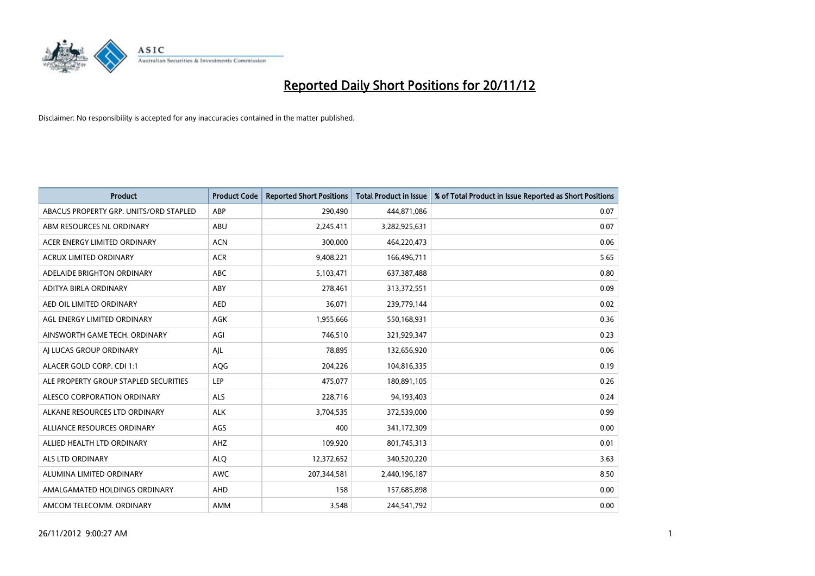

| <b>Product</b>                         | <b>Product Code</b> | <b>Reported Short Positions</b> | <b>Total Product in Issue</b> | % of Total Product in Issue Reported as Short Positions |
|----------------------------------------|---------------------|---------------------------------|-------------------------------|---------------------------------------------------------|
| ABACUS PROPERTY GRP. UNITS/ORD STAPLED | ABP                 | 290,490                         | 444,871,086                   | 0.07                                                    |
| ABM RESOURCES NL ORDINARY              | ABU                 | 2,245,411                       | 3,282,925,631                 | 0.07                                                    |
| ACER ENERGY LIMITED ORDINARY           | <b>ACN</b>          | 300,000                         | 464,220,473                   | 0.06                                                    |
| ACRUX LIMITED ORDINARY                 | <b>ACR</b>          | 9,408,221                       | 166,496,711                   | 5.65                                                    |
| ADELAIDE BRIGHTON ORDINARY             | <b>ABC</b>          | 5,103,471                       | 637,387,488                   | 0.80                                                    |
| ADITYA BIRLA ORDINARY                  | ABY                 | 278,461                         | 313,372,551                   | 0.09                                                    |
| AED OIL LIMITED ORDINARY               | <b>AED</b>          | 36,071                          | 239,779,144                   | 0.02                                                    |
| AGL ENERGY LIMITED ORDINARY            | <b>AGK</b>          | 1,955,666                       | 550,168,931                   | 0.36                                                    |
| AINSWORTH GAME TECH. ORDINARY          | AGI                 | 746,510                         | 321,929,347                   | 0.23                                                    |
| AI LUCAS GROUP ORDINARY                | AJL                 | 78,895                          | 132,656,920                   | 0.06                                                    |
| ALACER GOLD CORP. CDI 1:1              | AQG                 | 204,226                         | 104,816,335                   | 0.19                                                    |
| ALE PROPERTY GROUP STAPLED SECURITIES  | LEP                 | 475,077                         | 180,891,105                   | 0.26                                                    |
| ALESCO CORPORATION ORDINARY            | <b>ALS</b>          | 228,716                         | 94,193,403                    | 0.24                                                    |
| ALKANE RESOURCES LTD ORDINARY          | <b>ALK</b>          | 3,704,535                       | 372,539,000                   | 0.99                                                    |
| ALLIANCE RESOURCES ORDINARY            | AGS                 | 400                             | 341,172,309                   | 0.00                                                    |
| ALLIED HEALTH LTD ORDINARY             | AHZ                 | 109,920                         | 801,745,313                   | 0.01                                                    |
| ALS LTD ORDINARY                       | <b>ALO</b>          | 12,372,652                      | 340,520,220                   | 3.63                                                    |
| ALUMINA LIMITED ORDINARY               | <b>AWC</b>          | 207,344,581                     | 2,440,196,187                 | 8.50                                                    |
| AMALGAMATED HOLDINGS ORDINARY          | AHD                 | 158                             | 157,685,898                   | 0.00                                                    |
| AMCOM TELECOMM, ORDINARY               | <b>AMM</b>          | 3.548                           | 244,541,792                   | 0.00                                                    |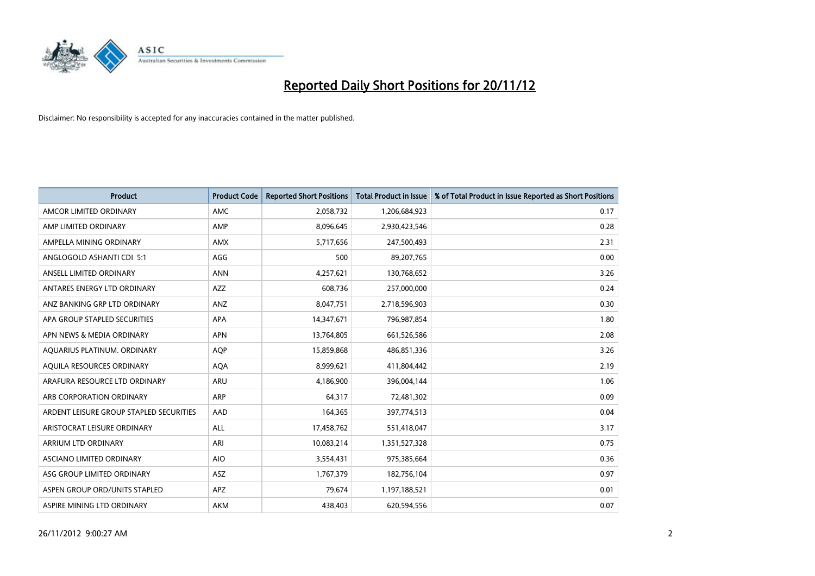

| <b>Product</b>                          | <b>Product Code</b> | <b>Reported Short Positions</b> | <b>Total Product in Issue</b> | % of Total Product in Issue Reported as Short Positions |
|-----------------------------------------|---------------------|---------------------------------|-------------------------------|---------------------------------------------------------|
| AMCOR LIMITED ORDINARY                  | <b>AMC</b>          | 2,058,732                       | 1,206,684,923                 | 0.17                                                    |
| AMP LIMITED ORDINARY                    | AMP                 | 8,096,645                       | 2,930,423,546                 | 0.28                                                    |
| AMPELLA MINING ORDINARY                 | <b>AMX</b>          | 5,717,656                       | 247,500,493                   | 2.31                                                    |
| ANGLOGOLD ASHANTI CDI 5:1               | AGG                 | 500                             | 89,207,765                    | 0.00                                                    |
| ANSELL LIMITED ORDINARY                 | <b>ANN</b>          | 4,257,621                       | 130,768,652                   | 3.26                                                    |
| ANTARES ENERGY LTD ORDINARY             | <b>AZZ</b>          | 608,736                         | 257,000,000                   | 0.24                                                    |
| ANZ BANKING GRP LTD ORDINARY            | <b>ANZ</b>          | 8,047,751                       | 2,718,596,903                 | 0.30                                                    |
| APA GROUP STAPLED SECURITIES            | <b>APA</b>          | 14,347,671                      | 796,987,854                   | 1.80                                                    |
| APN NEWS & MEDIA ORDINARY               | <b>APN</b>          | 13,764,805                      | 661,526,586                   | 2.08                                                    |
| AQUARIUS PLATINUM. ORDINARY             | <b>AOP</b>          | 15,859,868                      | 486,851,336                   | 3.26                                                    |
| AQUILA RESOURCES ORDINARY               | <b>AQA</b>          | 8,999,621                       | 411,804,442                   | 2.19                                                    |
| ARAFURA RESOURCE LTD ORDINARY           | <b>ARU</b>          | 4,186,900                       | 396,004,144                   | 1.06                                                    |
| ARB CORPORATION ORDINARY                | <b>ARP</b>          | 64,317                          | 72,481,302                    | 0.09                                                    |
| ARDENT LEISURE GROUP STAPLED SECURITIES | AAD                 | 164,365                         | 397,774,513                   | 0.04                                                    |
| ARISTOCRAT LEISURE ORDINARY             | <b>ALL</b>          | 17,458,762                      | 551,418,047                   | 3.17                                                    |
| ARRIUM LTD ORDINARY                     | ARI                 | 10,083,214                      | 1,351,527,328                 | 0.75                                                    |
| ASCIANO LIMITED ORDINARY                | <b>AIO</b>          | 3,554,431                       | 975,385,664                   | 0.36                                                    |
| ASG GROUP LIMITED ORDINARY              | <b>ASZ</b>          | 1,767,379                       | 182,756,104                   | 0.97                                                    |
| ASPEN GROUP ORD/UNITS STAPLED           | <b>APZ</b>          | 79,674                          | 1,197,188,521                 | 0.01                                                    |
| ASPIRE MINING LTD ORDINARY              | <b>AKM</b>          | 438,403                         | 620,594,556                   | 0.07                                                    |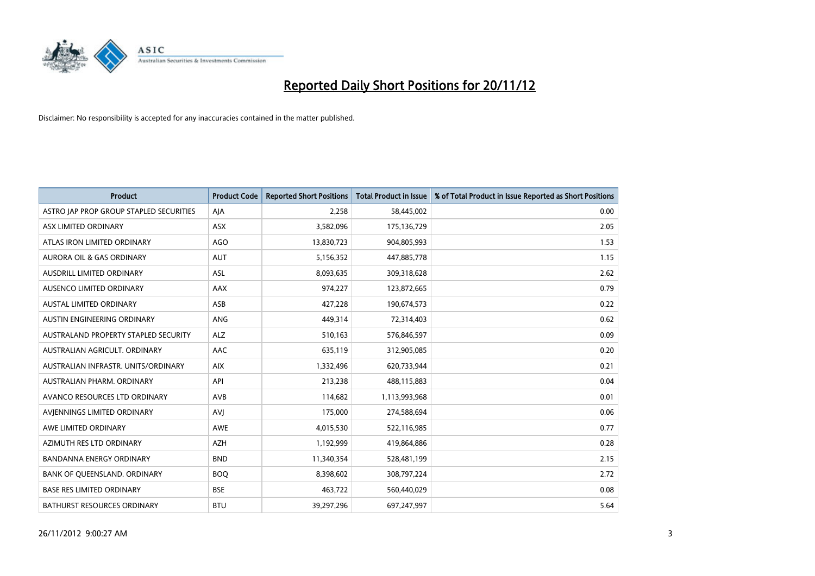

| <b>Product</b>                          | <b>Product Code</b> | <b>Reported Short Positions</b> | <b>Total Product in Issue</b> | % of Total Product in Issue Reported as Short Positions |
|-----------------------------------------|---------------------|---------------------------------|-------------------------------|---------------------------------------------------------|
| ASTRO JAP PROP GROUP STAPLED SECURITIES | AIA                 | 2.258                           | 58,445,002                    | 0.00                                                    |
| ASX LIMITED ORDINARY                    | ASX                 | 3,582,096                       | 175,136,729                   | 2.05                                                    |
| ATLAS IRON LIMITED ORDINARY             | AGO                 | 13,830,723                      | 904,805,993                   | 1.53                                                    |
| AURORA OIL & GAS ORDINARY               | <b>AUT</b>          | 5,156,352                       | 447,885,778                   | 1.15                                                    |
| AUSDRILL LIMITED ORDINARY               | <b>ASL</b>          | 8,093,635                       | 309,318,628                   | 2.62                                                    |
| AUSENCO LIMITED ORDINARY                | AAX                 | 974,227                         | 123,872,665                   | 0.79                                                    |
| <b>AUSTAL LIMITED ORDINARY</b>          | ASB                 | 427,228                         | 190,674,573                   | 0.22                                                    |
| <b>AUSTIN ENGINEERING ORDINARY</b>      | <b>ANG</b>          | 449,314                         | 72,314,403                    | 0.62                                                    |
| AUSTRALAND PROPERTY STAPLED SECURITY    | <b>ALZ</b>          | 510,163                         | 576,846,597                   | 0.09                                                    |
| AUSTRALIAN AGRICULT, ORDINARY           | AAC                 | 635,119                         | 312,905,085                   | 0.20                                                    |
| AUSTRALIAN INFRASTR, UNITS/ORDINARY     | <b>AIX</b>          | 1,332,496                       | 620,733,944                   | 0.21                                                    |
| AUSTRALIAN PHARM. ORDINARY              | API                 | 213,238                         | 488,115,883                   | 0.04                                                    |
| AVANCO RESOURCES LTD ORDINARY           | <b>AVB</b>          | 114,682                         | 1,113,993,968                 | 0.01                                                    |
| AVIENNINGS LIMITED ORDINARY             | AVI                 | 175,000                         | 274,588,694                   | 0.06                                                    |
| AWE LIMITED ORDINARY                    | <b>AWE</b>          | 4,015,530                       | 522,116,985                   | 0.77                                                    |
| AZIMUTH RES LTD ORDINARY                | <b>AZH</b>          | 1,192,999                       | 419,864,886                   | 0.28                                                    |
| BANDANNA ENERGY ORDINARY                | <b>BND</b>          | 11,340,354                      | 528,481,199                   | 2.15                                                    |
| BANK OF QUEENSLAND. ORDINARY            | <b>BOO</b>          | 8,398,602                       | 308,797,224                   | 2.72                                                    |
| <b>BASE RES LIMITED ORDINARY</b>        | <b>BSE</b>          | 463,722                         | 560,440,029                   | 0.08                                                    |
| <b>BATHURST RESOURCES ORDINARY</b>      | <b>BTU</b>          | 39,297,296                      | 697,247,997                   | 5.64                                                    |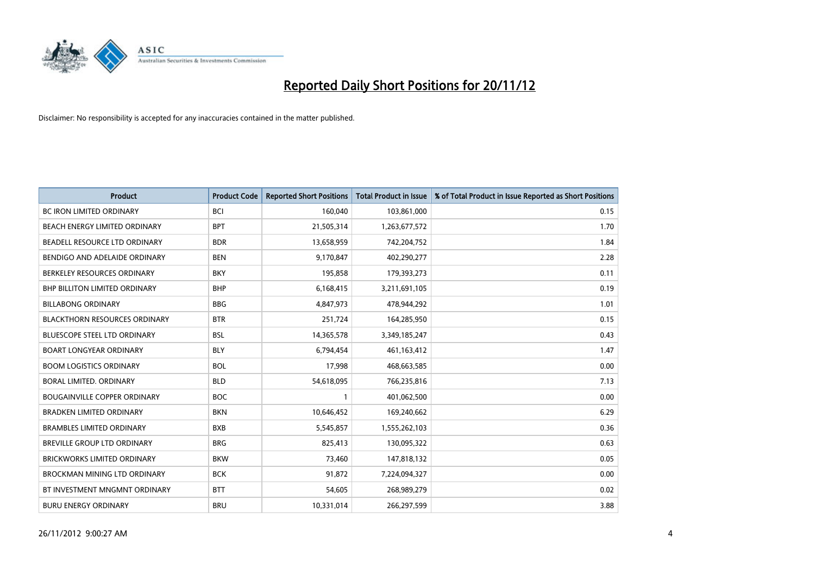

| <b>Product</b>                       | <b>Product Code</b> | <b>Reported Short Positions</b> | <b>Total Product in Issue</b> | % of Total Product in Issue Reported as Short Positions |
|--------------------------------------|---------------------|---------------------------------|-------------------------------|---------------------------------------------------------|
| <b>BC IRON LIMITED ORDINARY</b>      | <b>BCI</b>          | 160,040                         | 103,861,000                   | 0.15                                                    |
| BEACH ENERGY LIMITED ORDINARY        | <b>BPT</b>          | 21,505,314                      | 1,263,677,572                 | 1.70                                                    |
| BEADELL RESOURCE LTD ORDINARY        | <b>BDR</b>          | 13,658,959                      | 742,204,752                   | 1.84                                                    |
| BENDIGO AND ADELAIDE ORDINARY        | <b>BEN</b>          | 9,170,847                       | 402,290,277                   | 2.28                                                    |
| BERKELEY RESOURCES ORDINARY          | <b>BKY</b>          | 195,858                         | 179,393,273                   | 0.11                                                    |
| <b>BHP BILLITON LIMITED ORDINARY</b> | <b>BHP</b>          | 6,168,415                       | 3,211,691,105                 | 0.19                                                    |
| <b>BILLABONG ORDINARY</b>            | <b>BBG</b>          | 4,847,973                       | 478,944,292                   | 1.01                                                    |
| <b>BLACKTHORN RESOURCES ORDINARY</b> | <b>BTR</b>          | 251,724                         | 164,285,950                   | 0.15                                                    |
| BLUESCOPE STEEL LTD ORDINARY         | <b>BSL</b>          | 14,365,578                      | 3,349,185,247                 | 0.43                                                    |
| <b>BOART LONGYEAR ORDINARY</b>       | <b>BLY</b>          | 6,794,454                       | 461,163,412                   | 1.47                                                    |
| <b>BOOM LOGISTICS ORDINARY</b>       | <b>BOL</b>          | 17,998                          | 468,663,585                   | 0.00                                                    |
| BORAL LIMITED, ORDINARY              | <b>BLD</b>          | 54,618,095                      | 766,235,816                   | 7.13                                                    |
| <b>BOUGAINVILLE COPPER ORDINARY</b>  | <b>BOC</b>          |                                 | 401,062,500                   | 0.00                                                    |
| <b>BRADKEN LIMITED ORDINARY</b>      | <b>BKN</b>          | 10,646,452                      | 169,240,662                   | 6.29                                                    |
| <b>BRAMBLES LIMITED ORDINARY</b>     | <b>BXB</b>          | 5,545,857                       | 1,555,262,103                 | 0.36                                                    |
| BREVILLE GROUP LTD ORDINARY          | <b>BRG</b>          | 825,413                         | 130,095,322                   | 0.63                                                    |
| <b>BRICKWORKS LIMITED ORDINARY</b>   | <b>BKW</b>          | 73,460                          | 147,818,132                   | 0.05                                                    |
| BROCKMAN MINING LTD ORDINARY         | <b>BCK</b>          | 91,872                          | 7,224,094,327                 | 0.00                                                    |
| BT INVESTMENT MNGMNT ORDINARY        | <b>BTT</b>          | 54,605                          | 268,989,279                   | 0.02                                                    |
| <b>BURU ENERGY ORDINARY</b>          | <b>BRU</b>          | 10,331,014                      | 266,297,599                   | 3.88                                                    |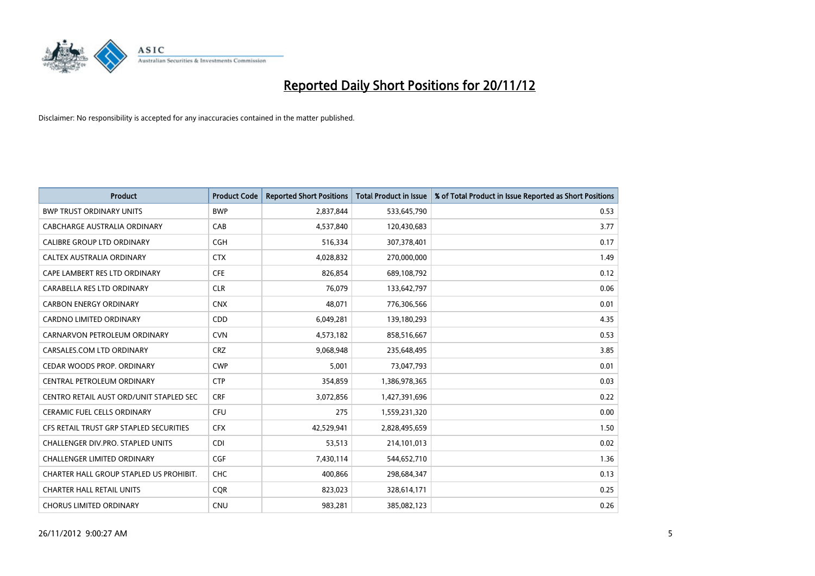

| <b>Product</b>                          | <b>Product Code</b> | <b>Reported Short Positions</b> | <b>Total Product in Issue</b> | % of Total Product in Issue Reported as Short Positions |
|-----------------------------------------|---------------------|---------------------------------|-------------------------------|---------------------------------------------------------|
| <b>BWP TRUST ORDINARY UNITS</b>         | <b>BWP</b>          | 2,837,844                       | 533,645,790                   | 0.53                                                    |
| CABCHARGE AUSTRALIA ORDINARY            | CAB                 | 4,537,840                       | 120,430,683                   | 3.77                                                    |
| <b>CALIBRE GROUP LTD ORDINARY</b>       | <b>CGH</b>          | 516,334                         | 307,378,401                   | 0.17                                                    |
| <b>CALTEX AUSTRALIA ORDINARY</b>        | <b>CTX</b>          | 4,028,832                       | 270,000,000                   | 1.49                                                    |
| CAPE LAMBERT RES LTD ORDINARY           | <b>CFE</b>          | 826,854                         | 689,108,792                   | 0.12                                                    |
| CARABELLA RES LTD ORDINARY              | <b>CLR</b>          | 76,079                          | 133,642,797                   | 0.06                                                    |
| <b>CARBON ENERGY ORDINARY</b>           | <b>CNX</b>          | 48.071                          | 776,306,566                   | 0.01                                                    |
| CARDNO LIMITED ORDINARY                 | <b>CDD</b>          | 6,049,281                       | 139,180,293                   | 4.35                                                    |
| CARNARVON PETROLEUM ORDINARY            | <b>CVN</b>          | 4,573,182                       | 858,516,667                   | 0.53                                                    |
| CARSALES.COM LTD ORDINARY               | <b>CRZ</b>          | 9,068,948                       | 235,648,495                   | 3.85                                                    |
| CEDAR WOODS PROP. ORDINARY              | <b>CWP</b>          | 5,001                           | 73,047,793                    | 0.01                                                    |
| CENTRAL PETROLEUM ORDINARY              | <b>CTP</b>          | 354,859                         | 1,386,978,365                 | 0.03                                                    |
| CENTRO RETAIL AUST ORD/UNIT STAPLED SEC | <b>CRF</b>          | 3,072,856                       | 1,427,391,696                 | 0.22                                                    |
| <b>CERAMIC FUEL CELLS ORDINARY</b>      | CFU                 | 275                             | 1,559,231,320                 | 0.00                                                    |
| CFS RETAIL TRUST GRP STAPLED SECURITIES | <b>CFX</b>          | 42,529,941                      | 2,828,495,659                 | 1.50                                                    |
| CHALLENGER DIV.PRO. STAPLED UNITS       | <b>CDI</b>          | 53,513                          | 214,101,013                   | 0.02                                                    |
| CHALLENGER LIMITED ORDINARY             | CGF                 | 7,430,114                       | 544,652,710                   | 1.36                                                    |
| CHARTER HALL GROUP STAPLED US PROHIBIT. | <b>CHC</b>          | 400,866                         | 298,684,347                   | 0.13                                                    |
| <b>CHARTER HALL RETAIL UNITS</b>        | <b>COR</b>          | 823,023                         | 328,614,171                   | 0.25                                                    |
| <b>CHORUS LIMITED ORDINARY</b>          | <b>CNU</b>          | 983.281                         | 385,082,123                   | 0.26                                                    |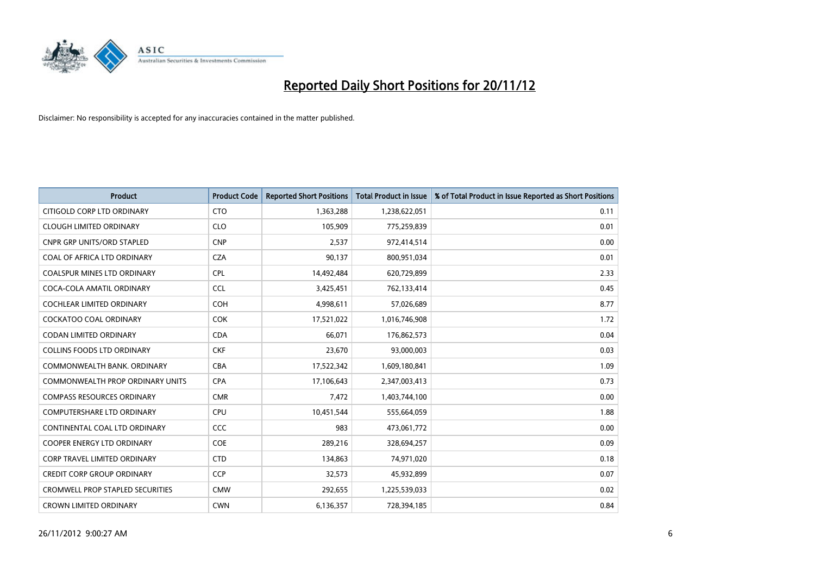

| <b>Product</b>                          | <b>Product Code</b> | <b>Reported Short Positions</b> | <b>Total Product in Issue</b> | % of Total Product in Issue Reported as Short Positions |
|-----------------------------------------|---------------------|---------------------------------|-------------------------------|---------------------------------------------------------|
| CITIGOLD CORP LTD ORDINARY              | <b>CTO</b>          | 1,363,288                       | 1,238,622,051                 | 0.11                                                    |
| <b>CLOUGH LIMITED ORDINARY</b>          | <b>CLO</b>          | 105,909                         | 775,259,839                   | 0.01                                                    |
| <b>CNPR GRP UNITS/ORD STAPLED</b>       | <b>CNP</b>          | 2,537                           | 972,414,514                   | 0.00                                                    |
| COAL OF AFRICA LTD ORDINARY             | <b>CZA</b>          | 90,137                          | 800,951,034                   | 0.01                                                    |
| <b>COALSPUR MINES LTD ORDINARY</b>      | <b>CPL</b>          | 14,492,484                      | 620,729,899                   | 2.33                                                    |
| COCA-COLA AMATIL ORDINARY               | <b>CCL</b>          | 3,425,451                       | 762,133,414                   | 0.45                                                    |
| <b>COCHLEAR LIMITED ORDINARY</b>        | <b>COH</b>          | 4,998,611                       | 57,026,689                    | 8.77                                                    |
| <b>COCKATOO COAL ORDINARY</b>           | <b>COK</b>          | 17,521,022                      | 1,016,746,908                 | 1.72                                                    |
| <b>CODAN LIMITED ORDINARY</b>           | <b>CDA</b>          | 66.071                          | 176,862,573                   | 0.04                                                    |
| <b>COLLINS FOODS LTD ORDINARY</b>       | <b>CKF</b>          | 23,670                          | 93,000,003                    | 0.03                                                    |
| COMMONWEALTH BANK, ORDINARY             | <b>CBA</b>          | 17,522,342                      | 1,609,180,841                 | 1.09                                                    |
| <b>COMMONWEALTH PROP ORDINARY UNITS</b> | <b>CPA</b>          | 17,106,643                      | 2,347,003,413                 | 0.73                                                    |
| <b>COMPASS RESOURCES ORDINARY</b>       | <b>CMR</b>          | 7,472                           | 1,403,744,100                 | 0.00                                                    |
| <b>COMPUTERSHARE LTD ORDINARY</b>       | <b>CPU</b>          | 10,451,544                      | 555,664,059                   | 1.88                                                    |
| CONTINENTAL COAL LTD ORDINARY           | <b>CCC</b>          | 983                             | 473,061,772                   | 0.00                                                    |
| COOPER ENERGY LTD ORDINARY              | <b>COE</b>          | 289,216                         | 328,694,257                   | 0.09                                                    |
| CORP TRAVEL LIMITED ORDINARY            | <b>CTD</b>          | 134,863                         | 74,971,020                    | 0.18                                                    |
| CREDIT CORP GROUP ORDINARY              | <b>CCP</b>          | 32,573                          | 45,932,899                    | 0.07                                                    |
| <b>CROMWELL PROP STAPLED SECURITIES</b> | <b>CMW</b>          | 292,655                         | 1,225,539,033                 | 0.02                                                    |
| <b>CROWN LIMITED ORDINARY</b>           | <b>CWN</b>          | 6,136,357                       | 728,394,185                   | 0.84                                                    |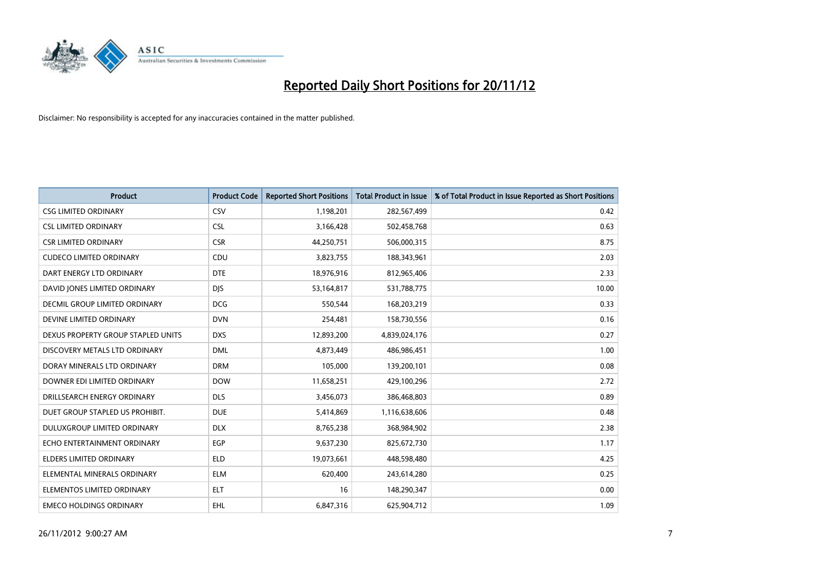

| <b>Product</b>                     | <b>Product Code</b> | <b>Reported Short Positions</b> | <b>Total Product in Issue</b> | % of Total Product in Issue Reported as Short Positions |
|------------------------------------|---------------------|---------------------------------|-------------------------------|---------------------------------------------------------|
| <b>CSG LIMITED ORDINARY</b>        | CSV                 | 1,198,201                       | 282,567,499                   | 0.42                                                    |
| <b>CSL LIMITED ORDINARY</b>        | <b>CSL</b>          | 3,166,428                       | 502,458,768                   | 0.63                                                    |
| <b>CSR LIMITED ORDINARY</b>        | <b>CSR</b>          | 44,250,751                      | 506,000,315                   | 8.75                                                    |
| <b>CUDECO LIMITED ORDINARY</b>     | CDU                 | 3,823,755                       | 188,343,961                   | 2.03                                                    |
| DART ENERGY LTD ORDINARY           | <b>DTE</b>          | 18,976,916                      | 812,965,406                   | 2.33                                                    |
| DAVID JONES LIMITED ORDINARY       | <b>DJS</b>          | 53,164,817                      | 531,788,775                   | 10.00                                                   |
| DECMIL GROUP LIMITED ORDINARY      | <b>DCG</b>          | 550.544                         | 168,203,219                   | 0.33                                                    |
| DEVINE LIMITED ORDINARY            | <b>DVN</b>          | 254,481                         | 158,730,556                   | 0.16                                                    |
| DEXUS PROPERTY GROUP STAPLED UNITS | <b>DXS</b>          | 12,893,200                      | 4,839,024,176                 | 0.27                                                    |
| DISCOVERY METALS LTD ORDINARY      | <b>DML</b>          | 4,873,449                       | 486,986,451                   | 1.00                                                    |
| DORAY MINERALS LTD ORDINARY        | <b>DRM</b>          | 105,000                         | 139,200,101                   | 0.08                                                    |
| DOWNER EDI LIMITED ORDINARY        | <b>DOW</b>          | 11,658,251                      | 429,100,296                   | 2.72                                                    |
| DRILLSEARCH ENERGY ORDINARY        | <b>DLS</b>          | 3,456,073                       | 386,468,803                   | 0.89                                                    |
| DUET GROUP STAPLED US PROHIBIT.    | <b>DUE</b>          | 5,414,869                       | 1,116,638,606                 | 0.48                                                    |
| DULUXGROUP LIMITED ORDINARY        | <b>DLX</b>          | 8,765,238                       | 368,984,902                   | 2.38                                                    |
| ECHO ENTERTAINMENT ORDINARY        | <b>EGP</b>          | 9,637,230                       | 825,672,730                   | 1.17                                                    |
| <b>ELDERS LIMITED ORDINARY</b>     | <b>ELD</b>          | 19,073,661                      | 448,598,480                   | 4.25                                                    |
| ELEMENTAL MINERALS ORDINARY        | <b>ELM</b>          | 620,400                         | 243,614,280                   | 0.25                                                    |
| ELEMENTOS LIMITED ORDINARY         | <b>ELT</b>          | 16                              | 148,290,347                   | 0.00                                                    |
| <b>EMECO HOLDINGS ORDINARY</b>     | <b>EHL</b>          | 6,847,316                       | 625,904,712                   | 1.09                                                    |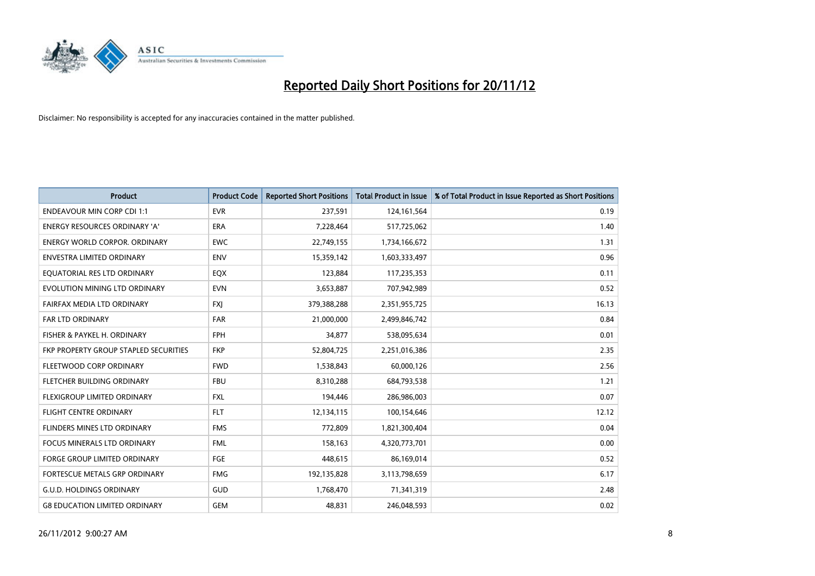

| <b>Product</b>                        | <b>Product Code</b> | <b>Reported Short Positions</b> | <b>Total Product in Issue</b> | % of Total Product in Issue Reported as Short Positions |
|---------------------------------------|---------------------|---------------------------------|-------------------------------|---------------------------------------------------------|
| <b>ENDEAVOUR MIN CORP CDI 1:1</b>     | <b>EVR</b>          | 237,591                         | 124, 161, 564                 | 0.19                                                    |
| ENERGY RESOURCES ORDINARY 'A'         | ERA                 | 7,228,464                       | 517,725,062                   | 1.40                                                    |
| <b>ENERGY WORLD CORPOR, ORDINARY</b>  | <b>EWC</b>          | 22,749,155                      | 1,734,166,672                 | 1.31                                                    |
| ENVESTRA LIMITED ORDINARY             | <b>ENV</b>          | 15,359,142                      | 1,603,333,497                 | 0.96                                                    |
| EOUATORIAL RES LTD ORDINARY           | EQX                 | 123,884                         | 117,235,353                   | 0.11                                                    |
| EVOLUTION MINING LTD ORDINARY         | <b>EVN</b>          | 3,653,887                       | 707,942,989                   | 0.52                                                    |
| FAIRFAX MEDIA LTD ORDINARY            | <b>FXI</b>          | 379,388,288                     | 2,351,955,725                 | 16.13                                                   |
| FAR LTD ORDINARY                      | <b>FAR</b>          | 21,000,000                      | 2,499,846,742                 | 0.84                                                    |
| FISHER & PAYKEL H. ORDINARY           | <b>FPH</b>          | 34,877                          | 538,095,634                   | 0.01                                                    |
| FKP PROPERTY GROUP STAPLED SECURITIES | <b>FKP</b>          | 52,804,725                      | 2,251,016,386                 | 2.35                                                    |
| FLEETWOOD CORP ORDINARY               | <b>FWD</b>          | 1,538,843                       | 60,000,126                    | 2.56                                                    |
| <b>FLETCHER BUILDING ORDINARY</b>     | <b>FBU</b>          | 8,310,288                       | 684,793,538                   | 1.21                                                    |
| <b>FLEXIGROUP LIMITED ORDINARY</b>    | <b>FXL</b>          | 194,446                         | 286,986,003                   | 0.07                                                    |
| <b>FLIGHT CENTRE ORDINARY</b>         | <b>FLT</b>          | 12,134,115                      | 100,154,646                   | 12.12                                                   |
| FLINDERS MINES LTD ORDINARY           | <b>FMS</b>          | 772,809                         | 1,821,300,404                 | 0.04                                                    |
| <b>FOCUS MINERALS LTD ORDINARY</b>    | <b>FML</b>          | 158,163                         | 4,320,773,701                 | 0.00                                                    |
| FORGE GROUP LIMITED ORDINARY          | FGE                 | 448,615                         | 86,169,014                    | 0.52                                                    |
| FORTESCUE METALS GRP ORDINARY         | <b>FMG</b>          | 192,135,828                     | 3,113,798,659                 | 6.17                                                    |
| <b>G.U.D. HOLDINGS ORDINARY</b>       | <b>GUD</b>          | 1,768,470                       | 71,341,319                    | 2.48                                                    |
| <b>G8 EDUCATION LIMITED ORDINARY</b>  | GEM                 | 48.831                          | 246,048,593                   | 0.02                                                    |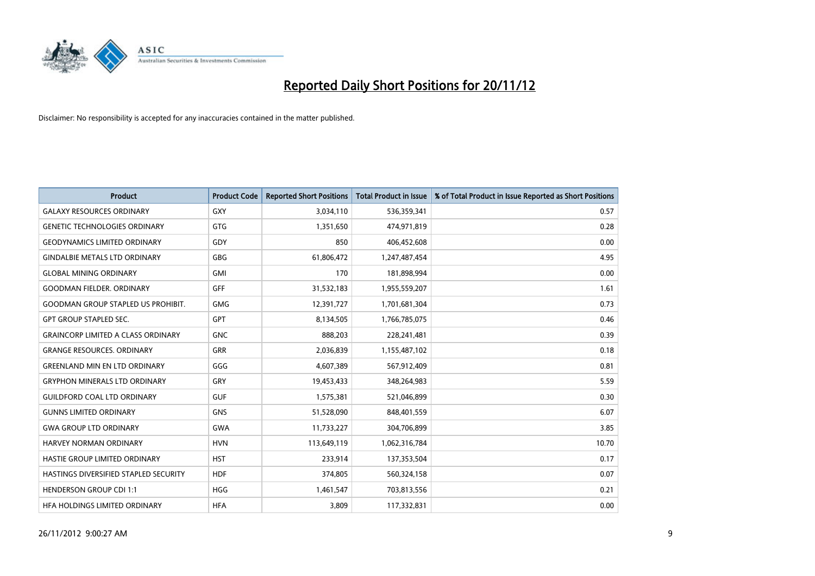

| <b>Product</b>                               | <b>Product Code</b> | <b>Reported Short Positions</b> | <b>Total Product in Issue</b> | % of Total Product in Issue Reported as Short Positions |
|----------------------------------------------|---------------------|---------------------------------|-------------------------------|---------------------------------------------------------|
| <b>GALAXY RESOURCES ORDINARY</b>             | GXY                 | 3,034,110                       | 536,359,341                   | 0.57                                                    |
| <b>GENETIC TECHNOLOGIES ORDINARY</b>         | GTG                 | 1,351,650                       | 474,971,819                   | 0.28                                                    |
| <b>GEODYNAMICS LIMITED ORDINARY</b>          | GDY                 | 850                             | 406,452,608                   | 0.00                                                    |
| <b>GINDALBIE METALS LTD ORDINARY</b>         | <b>GBG</b>          | 61,806,472                      | 1,247,487,454                 | 4.95                                                    |
| <b>GLOBAL MINING ORDINARY</b>                | GMI                 | 170                             | 181,898,994                   | 0.00                                                    |
| <b>GOODMAN FIELDER, ORDINARY</b>             | <b>GFF</b>          | 31,532,183                      | 1,955,559,207                 | 1.61                                                    |
| <b>GOODMAN GROUP STAPLED US PROHIBIT.</b>    | <b>GMG</b>          | 12,391,727                      | 1,701,681,304                 | 0.73                                                    |
| <b>GPT GROUP STAPLED SEC.</b>                | GPT                 | 8,134,505                       | 1,766,785,075                 | 0.46                                                    |
| <b>GRAINCORP LIMITED A CLASS ORDINARY</b>    | <b>GNC</b>          | 888,203                         | 228,241,481                   | 0.39                                                    |
| <b>GRANGE RESOURCES, ORDINARY</b>            | <b>GRR</b>          | 2,036,839                       | 1,155,487,102                 | 0.18                                                    |
| <b>GREENLAND MIN EN LTD ORDINARY</b>         | GGG                 | 4,607,389                       | 567,912,409                   | 0.81                                                    |
| <b>GRYPHON MINERALS LTD ORDINARY</b>         | GRY                 | 19,453,433                      | 348,264,983                   | 5.59                                                    |
| <b>GUILDFORD COAL LTD ORDINARY</b>           | <b>GUF</b>          | 1,575,381                       | 521,046,899                   | 0.30                                                    |
| <b>GUNNS LIMITED ORDINARY</b>                | <b>GNS</b>          | 51,528,090                      | 848,401,559                   | 6.07                                                    |
| <b>GWA GROUP LTD ORDINARY</b>                | <b>GWA</b>          | 11,733,227                      | 304,706,899                   | 3.85                                                    |
| HARVEY NORMAN ORDINARY                       | <b>HVN</b>          | 113,649,119                     | 1,062,316,784                 | 10.70                                                   |
| HASTIE GROUP LIMITED ORDINARY                | <b>HST</b>          | 233,914                         | 137,353,504                   | 0.17                                                    |
| <b>HASTINGS DIVERSIFIED STAPLED SECURITY</b> | <b>HDF</b>          | 374,805                         | 560,324,158                   | 0.07                                                    |
| <b>HENDERSON GROUP CDI 1:1</b>               | <b>HGG</b>          | 1,461,547                       | 703,813,556                   | 0.21                                                    |
| HEA HOLDINGS LIMITED ORDINARY                | <b>HFA</b>          | 3.809                           | 117,332,831                   | 0.00                                                    |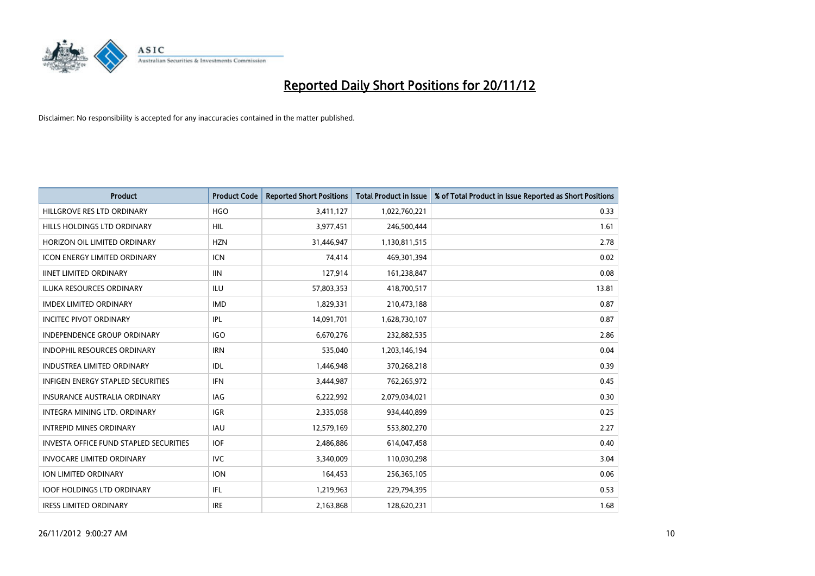

| <b>Product</b>                                | <b>Product Code</b> | <b>Reported Short Positions</b> | <b>Total Product in Issue</b> | % of Total Product in Issue Reported as Short Positions |
|-----------------------------------------------|---------------------|---------------------------------|-------------------------------|---------------------------------------------------------|
| HILLGROVE RES LTD ORDINARY                    | <b>HGO</b>          | 3,411,127                       | 1,022,760,221                 | 0.33                                                    |
| <b>HILLS HOLDINGS LTD ORDINARY</b>            | HIL                 | 3,977,451                       | 246,500,444                   | 1.61                                                    |
| HORIZON OIL LIMITED ORDINARY                  | <b>HZN</b>          | 31,446,947                      | 1,130,811,515                 | 2.78                                                    |
| ICON ENERGY LIMITED ORDINARY                  | <b>ICN</b>          | 74,414                          | 469,301,394                   | 0.02                                                    |
| <b>IINET LIMITED ORDINARY</b>                 | <b>IIN</b>          | 127,914                         | 161,238,847                   | 0.08                                                    |
| <b>ILUKA RESOURCES ORDINARY</b>               | ILU                 | 57,803,353                      | 418,700,517                   | 13.81                                                   |
| <b>IMDEX LIMITED ORDINARY</b>                 | <b>IMD</b>          | 1,829,331                       | 210,473,188                   | 0.87                                                    |
| <b>INCITEC PIVOT ORDINARY</b>                 | <b>IPL</b>          | 14,091,701                      | 1,628,730,107                 | 0.87                                                    |
| INDEPENDENCE GROUP ORDINARY                   | <b>IGO</b>          | 6,670,276                       | 232,882,535                   | 2.86                                                    |
| <b>INDOPHIL RESOURCES ORDINARY</b>            | <b>IRN</b>          | 535,040                         | 1,203,146,194                 | 0.04                                                    |
| <b>INDUSTREA LIMITED ORDINARY</b>             | IDL                 | 1,446,948                       | 370,268,218                   | 0.39                                                    |
| <b>INFIGEN ENERGY STAPLED SECURITIES</b>      | <b>IFN</b>          | 3,444,987                       | 762,265,972                   | 0.45                                                    |
| <b>INSURANCE AUSTRALIA ORDINARY</b>           | <b>IAG</b>          | 6,222,992                       | 2,079,034,021                 | 0.30                                                    |
| <b>INTEGRA MINING LTD, ORDINARY</b>           | <b>IGR</b>          | 2,335,058                       | 934,440,899                   | 0.25                                                    |
| <b>INTREPID MINES ORDINARY</b>                | <b>IAU</b>          | 12,579,169                      | 553,802,270                   | 2.27                                                    |
| <b>INVESTA OFFICE FUND STAPLED SECURITIES</b> | <b>IOF</b>          | 2,486,886                       | 614,047,458                   | 0.40                                                    |
| <b>INVOCARE LIMITED ORDINARY</b>              | <b>IVC</b>          | 3,340,009                       | 110,030,298                   | 3.04                                                    |
| ION LIMITED ORDINARY                          | <b>ION</b>          | 164,453                         | 256,365,105                   | 0.06                                                    |
| <b>IOOF HOLDINGS LTD ORDINARY</b>             | IFL.                | 1,219,963                       | 229,794,395                   | 0.53                                                    |
| <b>IRESS LIMITED ORDINARY</b>                 | <b>IRE</b>          | 2,163,868                       | 128.620.231                   | 1.68                                                    |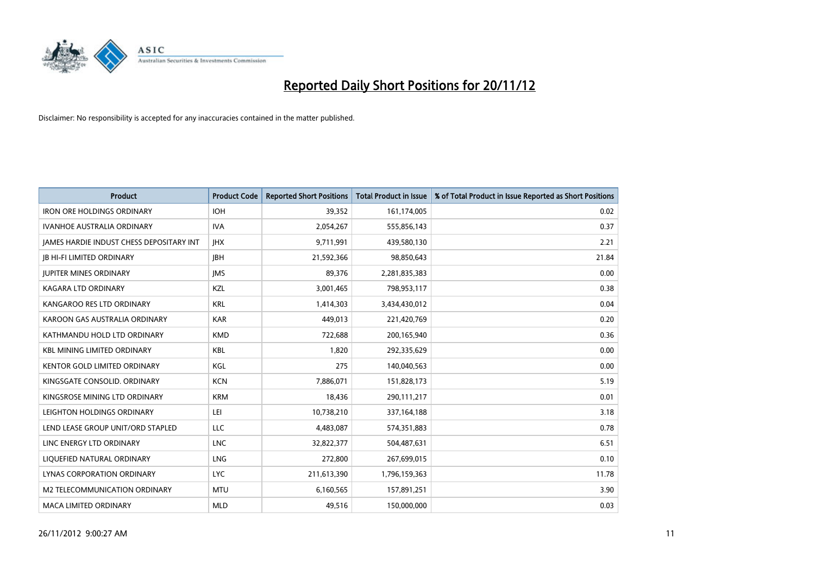

| <b>Product</b>                           | <b>Product Code</b> | <b>Reported Short Positions</b> | <b>Total Product in Issue</b> | % of Total Product in Issue Reported as Short Positions |
|------------------------------------------|---------------------|---------------------------------|-------------------------------|---------------------------------------------------------|
| <b>IRON ORE HOLDINGS ORDINARY</b>        | <b>IOH</b>          | 39,352                          | 161,174,005                   | 0.02                                                    |
| IVANHOE AUSTRALIA ORDINARY               | <b>IVA</b>          | 2,054,267                       | 555,856,143                   | 0.37                                                    |
| JAMES HARDIE INDUST CHESS DEPOSITARY INT | <b>IHX</b>          | 9,711,991                       | 439,580,130                   | 2.21                                                    |
| <b>JB HI-FI LIMITED ORDINARY</b>         | <b>IBH</b>          | 21,592,366                      | 98,850,643                    | 21.84                                                   |
| <b>JUPITER MINES ORDINARY</b>            | <b>IMS</b>          | 89,376                          | 2,281,835,383                 | 0.00                                                    |
| <b>KAGARA LTD ORDINARY</b>               | <b>KZL</b>          | 3,001,465                       | 798,953,117                   | 0.38                                                    |
| KANGAROO RES LTD ORDINARY                | <b>KRL</b>          | 1,414,303                       | 3,434,430,012                 | 0.04                                                    |
| KAROON GAS AUSTRALIA ORDINARY            | <b>KAR</b>          | 449,013                         | 221,420,769                   | 0.20                                                    |
| KATHMANDU HOLD LTD ORDINARY              | <b>KMD</b>          | 722,688                         | 200,165,940                   | 0.36                                                    |
| <b>KBL MINING LIMITED ORDINARY</b>       | <b>KBL</b>          | 1,820                           | 292,335,629                   | 0.00                                                    |
| KENTOR GOLD LIMITED ORDINARY             | KGL                 | 275                             | 140,040,563                   | 0.00                                                    |
| KINGSGATE CONSOLID, ORDINARY             | <b>KCN</b>          | 7,886,071                       | 151,828,173                   | 5.19                                                    |
| KINGSROSE MINING LTD ORDINARY            | <b>KRM</b>          | 18,436                          | 290,111,217                   | 0.01                                                    |
| LEIGHTON HOLDINGS ORDINARY               | LEI                 | 10,738,210                      | 337, 164, 188                 | 3.18                                                    |
| LEND LEASE GROUP UNIT/ORD STAPLED        | <b>LLC</b>          | 4,483,087                       | 574,351,883                   | 0.78                                                    |
| LINC ENERGY LTD ORDINARY                 | <b>LNC</b>          | 32,822,377                      | 504,487,631                   | 6.51                                                    |
| LIQUEFIED NATURAL ORDINARY               | LNG                 | 272,800                         | 267,699,015                   | 0.10                                                    |
| LYNAS CORPORATION ORDINARY               | <b>LYC</b>          | 211,613,390                     | 1,796,159,363                 | 11.78                                                   |
| <b>M2 TELECOMMUNICATION ORDINARY</b>     | <b>MTU</b>          | 6,160,565                       | 157,891,251                   | 3.90                                                    |
| MACA LIMITED ORDINARY                    | <b>MLD</b>          | 49,516                          | 150,000,000                   | 0.03                                                    |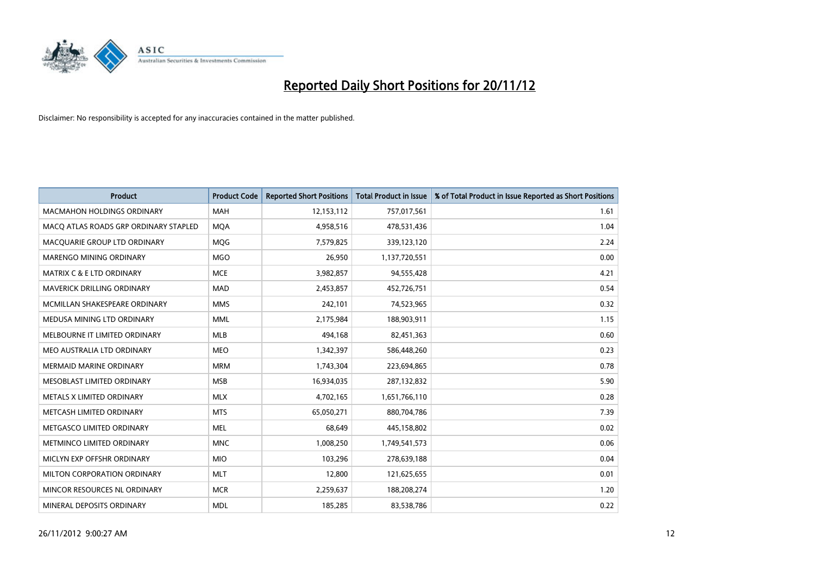

| <b>Product</b>                        | <b>Product Code</b> | <b>Reported Short Positions</b> | <b>Total Product in Issue</b> | % of Total Product in Issue Reported as Short Positions |
|---------------------------------------|---------------------|---------------------------------|-------------------------------|---------------------------------------------------------|
| <b>MACMAHON HOLDINGS ORDINARY</b>     | <b>MAH</b>          | 12,153,112                      | 757,017,561                   | 1.61                                                    |
| MACO ATLAS ROADS GRP ORDINARY STAPLED | <b>MOA</b>          | 4,958,516                       | 478,531,436                   | 1.04                                                    |
| MACQUARIE GROUP LTD ORDINARY          | <b>MOG</b>          | 7,579,825                       | 339,123,120                   | 2.24                                                    |
| <b>MARENGO MINING ORDINARY</b>        | <b>MGO</b>          | 26,950                          | 1,137,720,551                 | 0.00                                                    |
| <b>MATRIX C &amp; E LTD ORDINARY</b>  | <b>MCE</b>          | 3,982,857                       | 94,555,428                    | 4.21                                                    |
| <b>MAVERICK DRILLING ORDINARY</b>     | <b>MAD</b>          | 2,453,857                       | 452,726,751                   | 0.54                                                    |
| MCMILLAN SHAKESPEARE ORDINARY         | <b>MMS</b>          | 242,101                         | 74,523,965                    | 0.32                                                    |
| MEDUSA MINING LTD ORDINARY            | <b>MML</b>          | 2,175,984                       | 188,903,911                   | 1.15                                                    |
| MELBOURNE IT LIMITED ORDINARY         | <b>MLB</b>          | 494,168                         | 82,451,363                    | 0.60                                                    |
| MEO AUSTRALIA LTD ORDINARY            | <b>MEO</b>          | 1,342,397                       | 586,448,260                   | 0.23                                                    |
| MERMAID MARINE ORDINARY               | <b>MRM</b>          | 1,743,304                       | 223,694,865                   | 0.78                                                    |
| MESOBLAST LIMITED ORDINARY            | <b>MSB</b>          | 16,934,035                      | 287,132,832                   | 5.90                                                    |
| METALS X LIMITED ORDINARY             | <b>MLX</b>          | 4,702,165                       | 1,651,766,110                 | 0.28                                                    |
| METCASH LIMITED ORDINARY              | <b>MTS</b>          | 65,050,271                      | 880,704,786                   | 7.39                                                    |
| METGASCO LIMITED ORDINARY             | <b>MEL</b>          | 68,649                          | 445,158,802                   | 0.02                                                    |
| METMINCO LIMITED ORDINARY             | <b>MNC</b>          | 1,008,250                       | 1,749,541,573                 | 0.06                                                    |
| MICLYN EXP OFFSHR ORDINARY            | <b>MIO</b>          | 103,296                         | 278,639,188                   | 0.04                                                    |
| MILTON CORPORATION ORDINARY           | <b>MLT</b>          | 12,800                          | 121,625,655                   | 0.01                                                    |
| MINCOR RESOURCES NL ORDINARY          | <b>MCR</b>          | 2,259,637                       | 188,208,274                   | 1.20                                                    |
| MINERAL DEPOSITS ORDINARY             | <b>MDL</b>          | 185,285                         | 83,538,786                    | 0.22                                                    |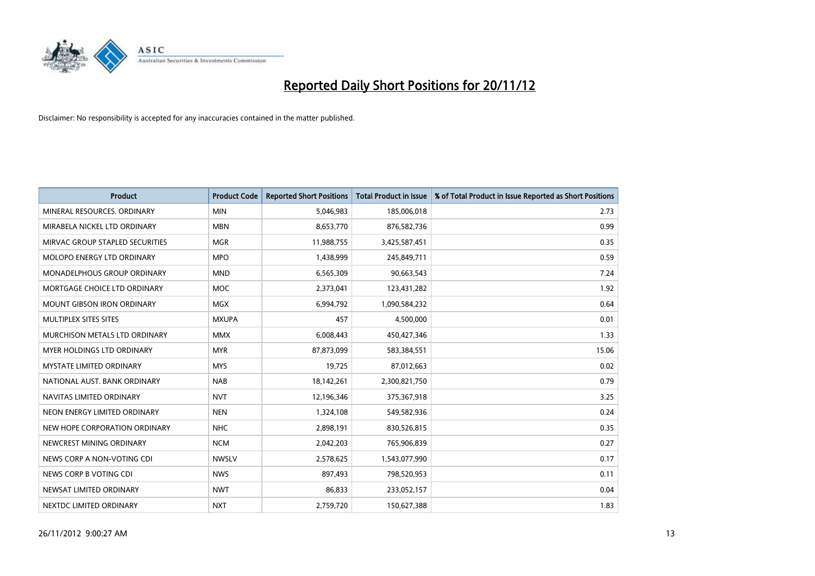

| <b>Product</b>                     | <b>Product Code</b> | <b>Reported Short Positions</b> | <b>Total Product in Issue</b> | % of Total Product in Issue Reported as Short Positions |
|------------------------------------|---------------------|---------------------------------|-------------------------------|---------------------------------------------------------|
| MINERAL RESOURCES, ORDINARY        | <b>MIN</b>          | 5,046,983                       | 185,006,018                   | 2.73                                                    |
| MIRABELA NICKEL LTD ORDINARY       | <b>MBN</b>          | 8,653,770                       | 876,582,736                   | 0.99                                                    |
| MIRVAC GROUP STAPLED SECURITIES    | <b>MGR</b>          | 11,988,755                      | 3,425,587,451                 | 0.35                                                    |
| MOLOPO ENERGY LTD ORDINARY         | <b>MPO</b>          | 1,438,999                       | 245,849,711                   | 0.59                                                    |
| <b>MONADELPHOUS GROUP ORDINARY</b> | <b>MND</b>          | 6,565,309                       | 90,663,543                    | 7.24                                                    |
| MORTGAGE CHOICE LTD ORDINARY       | <b>MOC</b>          | 2,373,041                       | 123,431,282                   | 1.92                                                    |
| <b>MOUNT GIBSON IRON ORDINARY</b>  | <b>MGX</b>          | 6,994,792                       | 1,090,584,232                 | 0.64                                                    |
| MULTIPLEX SITES SITES              | <b>MXUPA</b>        | 457                             | 4,500,000                     | 0.01                                                    |
| MURCHISON METALS LTD ORDINARY      | <b>MMX</b>          | 6,008,443                       | 450,427,346                   | 1.33                                                    |
| MYER HOLDINGS LTD ORDINARY         | <b>MYR</b>          | 87,873,099                      | 583,384,551                   | 15.06                                                   |
| <b>MYSTATE LIMITED ORDINARY</b>    | <b>MYS</b>          | 19,725                          | 87,012,663                    | 0.02                                                    |
| NATIONAL AUST, BANK ORDINARY       | <b>NAB</b>          | 18,142,261                      | 2,300,821,750                 | 0.79                                                    |
| NAVITAS LIMITED ORDINARY           | <b>NVT</b>          | 12,196,346                      | 375,367,918                   | 3.25                                                    |
| NEON ENERGY LIMITED ORDINARY       | <b>NEN</b>          | 1,324,108                       | 549,582,936                   | 0.24                                                    |
| NEW HOPE CORPORATION ORDINARY      | <b>NHC</b>          | 2,898,191                       | 830,526,815                   | 0.35                                                    |
| NEWCREST MINING ORDINARY           | <b>NCM</b>          | 2,042,203                       | 765,906,839                   | 0.27                                                    |
| NEWS CORP A NON-VOTING CDI         | <b>NWSLV</b>        | 2,578,625                       | 1,543,077,990                 | 0.17                                                    |
| NEWS CORP B VOTING CDI             | <b>NWS</b>          | 897,493                         | 798,520,953                   | 0.11                                                    |
| NEWSAT LIMITED ORDINARY            | <b>NWT</b>          | 86,833                          | 233,052,157                   | 0.04                                                    |
| NEXTDC LIMITED ORDINARY            | <b>NXT</b>          | 2,759,720                       | 150,627,388                   | 1.83                                                    |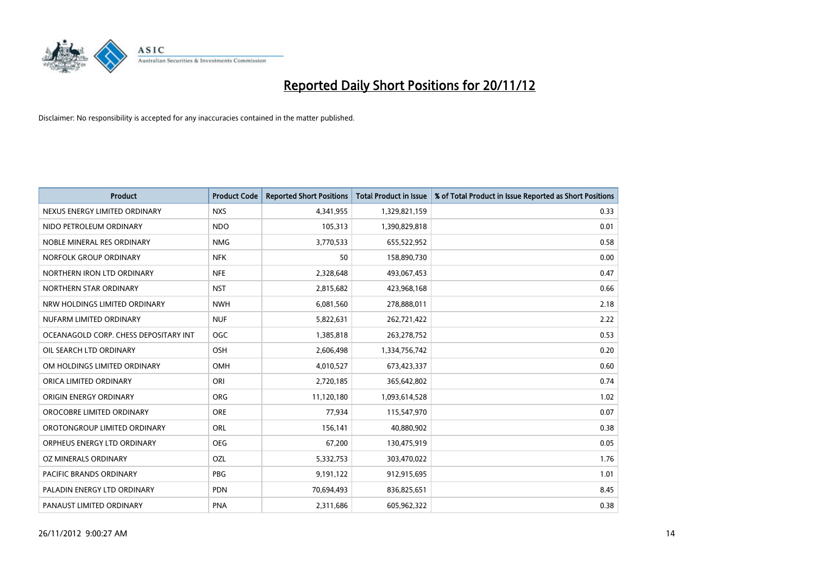

| <b>Product</b>                        | <b>Product Code</b> | <b>Reported Short Positions</b> | <b>Total Product in Issue</b> | % of Total Product in Issue Reported as Short Positions |
|---------------------------------------|---------------------|---------------------------------|-------------------------------|---------------------------------------------------------|
| NEXUS ENERGY LIMITED ORDINARY         | <b>NXS</b>          | 4,341,955                       | 1,329,821,159                 | 0.33                                                    |
| NIDO PETROLEUM ORDINARY               | <b>NDO</b>          | 105,313                         | 1,390,829,818                 | 0.01                                                    |
| NOBLE MINERAL RES ORDINARY            | <b>NMG</b>          | 3,770,533                       | 655,522,952                   | 0.58                                                    |
| NORFOLK GROUP ORDINARY                | <b>NFK</b>          | 50                              | 158,890,730                   | 0.00                                                    |
| NORTHERN IRON LTD ORDINARY            | <b>NFE</b>          | 2,328,648                       | 493,067,453                   | 0.47                                                    |
| NORTHERN STAR ORDINARY                | <b>NST</b>          | 2,815,682                       | 423,968,168                   | 0.66                                                    |
| NRW HOLDINGS LIMITED ORDINARY         | <b>NWH</b>          | 6,081,560                       | 278,888,011                   | 2.18                                                    |
| NUFARM LIMITED ORDINARY               | <b>NUF</b>          | 5,822,631                       | 262,721,422                   | 2.22                                                    |
| OCEANAGOLD CORP. CHESS DEPOSITARY INT | <b>OGC</b>          | 1,385,818                       | 263,278,752                   | 0.53                                                    |
| OIL SEARCH LTD ORDINARY               | <b>OSH</b>          | 2,606,498                       | 1,334,756,742                 | 0.20                                                    |
| OM HOLDINGS LIMITED ORDINARY          | OMH                 | 4,010,527                       | 673,423,337                   | 0.60                                                    |
| ORICA LIMITED ORDINARY                | ORI                 | 2,720,185                       | 365,642,802                   | 0.74                                                    |
| ORIGIN ENERGY ORDINARY                | <b>ORG</b>          | 11,120,180                      | 1,093,614,528                 | 1.02                                                    |
| OROCOBRE LIMITED ORDINARY             | <b>ORE</b>          | 77,934                          | 115,547,970                   | 0.07                                                    |
| OROTONGROUP LIMITED ORDINARY          | <b>ORL</b>          | 156,141                         | 40,880,902                    | 0.38                                                    |
| ORPHEUS ENERGY LTD ORDINARY           | <b>OEG</b>          | 67,200                          | 130,475,919                   | 0.05                                                    |
| OZ MINERALS ORDINARY                  | OZL                 | 5,332,753                       | 303,470,022                   | 1.76                                                    |
| PACIFIC BRANDS ORDINARY               | <b>PBG</b>          | 9,191,122                       | 912,915,695                   | 1.01                                                    |
| PALADIN ENERGY LTD ORDINARY           | <b>PDN</b>          | 70,694,493                      | 836,825,651                   | 8.45                                                    |
| PANAUST LIMITED ORDINARY              | <b>PNA</b>          | 2,311,686                       | 605,962,322                   | 0.38                                                    |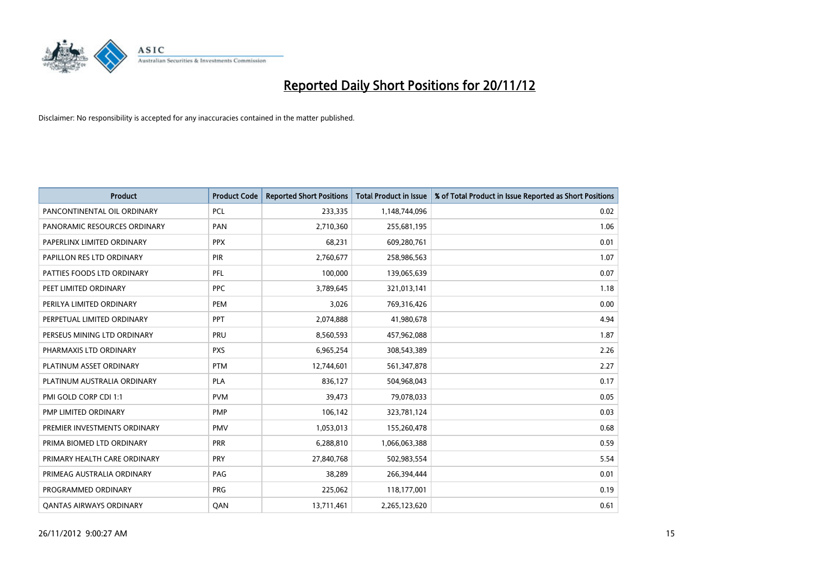

| <b>Product</b>                 | <b>Product Code</b> | <b>Reported Short Positions</b> | <b>Total Product in Issue</b> | % of Total Product in Issue Reported as Short Positions |
|--------------------------------|---------------------|---------------------------------|-------------------------------|---------------------------------------------------------|
| PANCONTINENTAL OIL ORDINARY    | <b>PCL</b>          | 233,335                         | 1,148,744,096                 | 0.02                                                    |
| PANORAMIC RESOURCES ORDINARY   | PAN                 | 2,710,360                       | 255,681,195                   | 1.06                                                    |
| PAPERLINX LIMITED ORDINARY     | <b>PPX</b>          | 68,231                          | 609,280,761                   | 0.01                                                    |
| PAPILLON RES LTD ORDINARY      | PIR                 | 2,760,677                       | 258,986,563                   | 1.07                                                    |
| PATTIES FOODS LTD ORDINARY     | PFL                 | 100.000                         | 139,065,639                   | 0.07                                                    |
| PEET LIMITED ORDINARY          | <b>PPC</b>          | 3,789,645                       | 321,013,141                   | 1.18                                                    |
| PERILYA LIMITED ORDINARY       | PEM                 | 3,026                           | 769,316,426                   | 0.00                                                    |
| PERPETUAL LIMITED ORDINARY     | PPT                 | 2,074,888                       | 41,980,678                    | 4.94                                                    |
| PERSEUS MINING LTD ORDINARY    | PRU                 | 8,560,593                       | 457,962,088                   | 1.87                                                    |
| PHARMAXIS LTD ORDINARY         | <b>PXS</b>          | 6,965,254                       | 308,543,389                   | 2.26                                                    |
| PLATINUM ASSET ORDINARY        | <b>PTM</b>          | 12,744,601                      | 561,347,878                   | 2.27                                                    |
| PLATINUM AUSTRALIA ORDINARY    | <b>PLA</b>          | 836,127                         | 504,968,043                   | 0.17                                                    |
| PMI GOLD CORP CDI 1:1          | <b>PVM</b>          | 39.473                          | 79,078,033                    | 0.05                                                    |
| PMP LIMITED ORDINARY           | <b>PMP</b>          | 106,142                         | 323,781,124                   | 0.03                                                    |
| PREMIER INVESTMENTS ORDINARY   | <b>PMV</b>          | 1,053,013                       | 155,260,478                   | 0.68                                                    |
| PRIMA BIOMED LTD ORDINARY      | PRR                 | 6,288,810                       | 1,066,063,388                 | 0.59                                                    |
| PRIMARY HEALTH CARE ORDINARY   | <b>PRY</b>          | 27,840,768                      | 502,983,554                   | 5.54                                                    |
| PRIMEAG AUSTRALIA ORDINARY     | PAG                 | 38,289                          | 266,394,444                   | 0.01                                                    |
| PROGRAMMED ORDINARY            | <b>PRG</b>          | 225,062                         | 118,177,001                   | 0.19                                                    |
| <b>OANTAS AIRWAYS ORDINARY</b> | QAN                 | 13,711,461                      | 2,265,123,620                 | 0.61                                                    |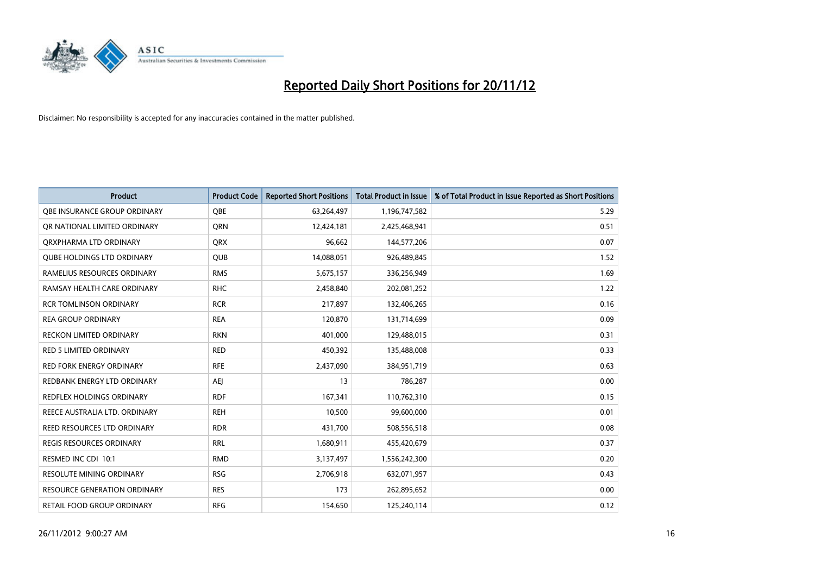

| <b>Product</b>                      | <b>Product Code</b> | <b>Reported Short Positions</b> | <b>Total Product in Issue</b> | % of Total Product in Issue Reported as Short Positions |
|-------------------------------------|---------------------|---------------------------------|-------------------------------|---------------------------------------------------------|
| OBE INSURANCE GROUP ORDINARY        | <b>OBE</b>          | 63,264,497                      | 1,196,747,582                 | 5.29                                                    |
| OR NATIONAL LIMITED ORDINARY        | <b>ORN</b>          | 12,424,181                      | 2,425,468,941                 | 0.51                                                    |
| QRXPHARMA LTD ORDINARY              | <b>QRX</b>          | 96,662                          | 144,577,206                   | 0.07                                                    |
| <b>QUBE HOLDINGS LTD ORDINARY</b>   | QUB                 | 14,088,051                      | 926,489,845                   | 1.52                                                    |
| RAMELIUS RESOURCES ORDINARY         | <b>RMS</b>          | 5,675,157                       | 336,256,949                   | 1.69                                                    |
| RAMSAY HEALTH CARE ORDINARY         | <b>RHC</b>          | 2,458,840                       | 202,081,252                   | 1.22                                                    |
| <b>RCR TOMLINSON ORDINARY</b>       | <b>RCR</b>          | 217,897                         | 132,406,265                   | 0.16                                                    |
| <b>REA GROUP ORDINARY</b>           | <b>REA</b>          | 120,870                         | 131,714,699                   | 0.09                                                    |
| RECKON LIMITED ORDINARY             | <b>RKN</b>          | 401,000                         | 129,488,015                   | 0.31                                                    |
| <b>RED 5 LIMITED ORDINARY</b>       | <b>RED</b>          | 450,392                         | 135,488,008                   | 0.33                                                    |
| <b>RED FORK ENERGY ORDINARY</b>     | <b>RFE</b>          | 2,437,090                       | 384,951,719                   | 0.63                                                    |
| REDBANK ENERGY LTD ORDINARY         | AEI                 | 13                              | 786,287                       | 0.00                                                    |
| REDFLEX HOLDINGS ORDINARY           | <b>RDF</b>          | 167,341                         | 110,762,310                   | 0.15                                                    |
| REECE AUSTRALIA LTD. ORDINARY       | <b>REH</b>          | 10,500                          | 99,600,000                    | 0.01                                                    |
| REED RESOURCES LTD ORDINARY         | <b>RDR</b>          | 431,700                         | 508,556,518                   | 0.08                                                    |
| <b>REGIS RESOURCES ORDINARY</b>     | <b>RRL</b>          | 1,680,911                       | 455,420,679                   | 0.37                                                    |
| RESMED INC CDI 10:1                 | <b>RMD</b>          | 3,137,497                       | 1,556,242,300                 | 0.20                                                    |
| RESOLUTE MINING ORDINARY            | <b>RSG</b>          | 2,706,918                       | 632,071,957                   | 0.43                                                    |
| <b>RESOURCE GENERATION ORDINARY</b> | <b>RES</b>          | 173                             | 262,895,652                   | 0.00                                                    |
| RETAIL FOOD GROUP ORDINARY          | <b>RFG</b>          | 154,650                         | 125,240,114                   | 0.12                                                    |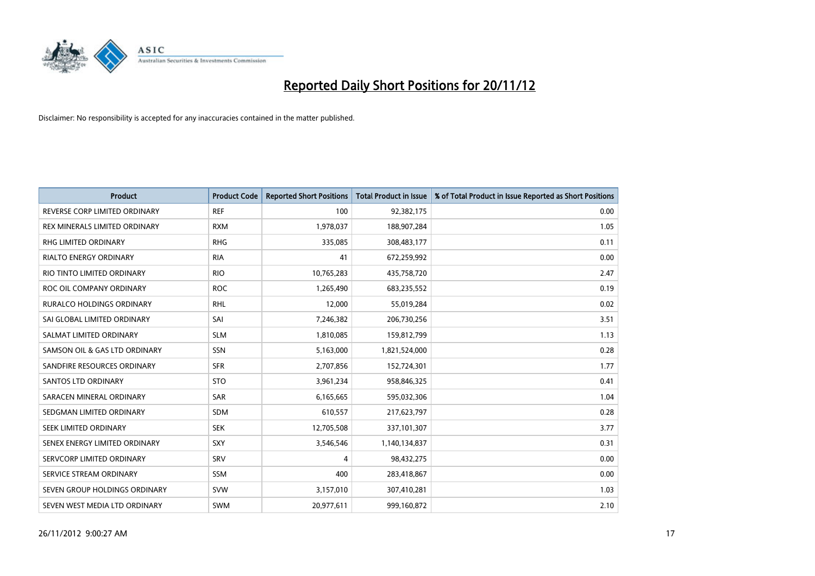

| <b>Product</b>                       | <b>Product Code</b> | <b>Reported Short Positions</b> | <b>Total Product in Issue</b> | % of Total Product in Issue Reported as Short Positions |
|--------------------------------------|---------------------|---------------------------------|-------------------------------|---------------------------------------------------------|
| REVERSE CORP LIMITED ORDINARY        | <b>REF</b>          | 100                             | 92,382,175                    | 0.00                                                    |
| <b>REX MINERALS LIMITED ORDINARY</b> | <b>RXM</b>          | 1,978,037                       | 188,907,284                   | 1.05                                                    |
| <b>RHG LIMITED ORDINARY</b>          | <b>RHG</b>          | 335,085                         | 308,483,177                   | 0.11                                                    |
| RIALTO ENERGY ORDINARY               | <b>RIA</b>          | 41                              | 672,259,992                   | 0.00                                                    |
| RIO TINTO LIMITED ORDINARY           | <b>RIO</b>          | 10,765,283                      | 435,758,720                   | 2.47                                                    |
| ROC OIL COMPANY ORDINARY             | <b>ROC</b>          | 1,265,490                       | 683,235,552                   | 0.19                                                    |
| <b>RURALCO HOLDINGS ORDINARY</b>     | <b>RHL</b>          | 12,000                          | 55,019,284                    | 0.02                                                    |
| SAI GLOBAL LIMITED ORDINARY          | SAI                 | 7,246,382                       | 206,730,256                   | 3.51                                                    |
| SALMAT LIMITED ORDINARY              | <b>SLM</b>          | 1,810,085                       | 159,812,799                   | 1.13                                                    |
| SAMSON OIL & GAS LTD ORDINARY        | <b>SSN</b>          | 5,163,000                       | 1,821,524,000                 | 0.28                                                    |
| SANDFIRE RESOURCES ORDINARY          | <b>SFR</b>          | 2,707,856                       | 152,724,301                   | 1.77                                                    |
| <b>SANTOS LTD ORDINARY</b>           | <b>STO</b>          | 3,961,234                       | 958,846,325                   | 0.41                                                    |
| SARACEN MINERAL ORDINARY             | <b>SAR</b>          | 6,165,665                       | 595,032,306                   | 1.04                                                    |
| SEDGMAN LIMITED ORDINARY             | <b>SDM</b>          | 610,557                         | 217,623,797                   | 0.28                                                    |
| SEEK LIMITED ORDINARY                | <b>SEK</b>          | 12,705,508                      | 337,101,307                   | 3.77                                                    |
| SENEX ENERGY LIMITED ORDINARY        | <b>SXY</b>          | 3,546,546                       | 1,140,134,837                 | 0.31                                                    |
| SERVCORP LIMITED ORDINARY            | SRV                 | 4                               | 98,432,275                    | 0.00                                                    |
| SERVICE STREAM ORDINARY              | <b>SSM</b>          | 400                             | 283,418,867                   | 0.00                                                    |
| SEVEN GROUP HOLDINGS ORDINARY        | <b>SVW</b>          | 3,157,010                       | 307,410,281                   | 1.03                                                    |
| SEVEN WEST MEDIA LTD ORDINARY        | <b>SWM</b>          | 20,977,611                      | 999,160,872                   | 2.10                                                    |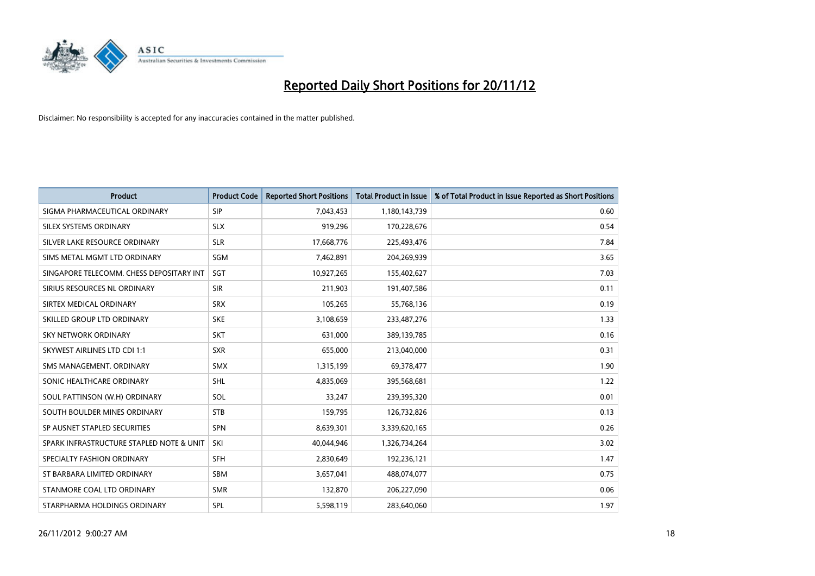

| <b>Product</b>                           | <b>Product Code</b> | <b>Reported Short Positions</b> | <b>Total Product in Issue</b> | % of Total Product in Issue Reported as Short Positions |
|------------------------------------------|---------------------|---------------------------------|-------------------------------|---------------------------------------------------------|
| SIGMA PHARMACEUTICAL ORDINARY            | SIP                 | 7,043,453                       | 1,180,143,739                 | 0.60                                                    |
| SILEX SYSTEMS ORDINARY                   | <b>SLX</b>          | 919,296                         | 170,228,676                   | 0.54                                                    |
| SILVER LAKE RESOURCE ORDINARY            | <b>SLR</b>          | 17,668,776                      | 225,493,476                   | 7.84                                                    |
| SIMS METAL MGMT LTD ORDINARY             | <b>SGM</b>          | 7,462,891                       | 204,269,939                   | 3.65                                                    |
| SINGAPORE TELECOMM. CHESS DEPOSITARY INT | SGT                 | 10,927,265                      | 155,402,627                   | 7.03                                                    |
| SIRIUS RESOURCES NL ORDINARY             | <b>SIR</b>          | 211,903                         | 191,407,586                   | 0.11                                                    |
| SIRTEX MEDICAL ORDINARY                  | <b>SRX</b>          | 105.265                         | 55,768,136                    | 0.19                                                    |
| SKILLED GROUP LTD ORDINARY               | <b>SKE</b>          | 3,108,659                       | 233,487,276                   | 1.33                                                    |
| SKY NETWORK ORDINARY                     | <b>SKT</b>          | 631,000                         | 389,139,785                   | 0.16                                                    |
| <b>SKYWEST AIRLINES LTD CDI 1:1</b>      | <b>SXR</b>          | 655,000                         | 213,040,000                   | 0.31                                                    |
| SMS MANAGEMENT, ORDINARY                 | <b>SMX</b>          | 1,315,199                       | 69,378,477                    | 1.90                                                    |
| SONIC HEALTHCARE ORDINARY                | <b>SHL</b>          | 4,835,069                       | 395,568,681                   | 1.22                                                    |
| SOUL PATTINSON (W.H) ORDINARY            | SOL                 | 33,247                          | 239,395,320                   | 0.01                                                    |
| SOUTH BOULDER MINES ORDINARY             | <b>STB</b>          | 159,795                         | 126,732,826                   | 0.13                                                    |
| SP AUSNET STAPLED SECURITIES             | <b>SPN</b>          | 8,639,301                       | 3,339,620,165                 | 0.26                                                    |
| SPARK INFRASTRUCTURE STAPLED NOTE & UNIT | SKI                 | 40,044,946                      | 1,326,734,264                 | 3.02                                                    |
| SPECIALTY FASHION ORDINARY               | <b>SFH</b>          | 2,830,649                       | 192,236,121                   | 1.47                                                    |
| ST BARBARA LIMITED ORDINARY              | <b>SBM</b>          | 3,657,041                       | 488,074,077                   | 0.75                                                    |
| STANMORE COAL LTD ORDINARY               | <b>SMR</b>          | 132,870                         | 206,227,090                   | 0.06                                                    |
| STARPHARMA HOLDINGS ORDINARY             | SPL                 | 5,598,119                       | 283,640,060                   | 1.97                                                    |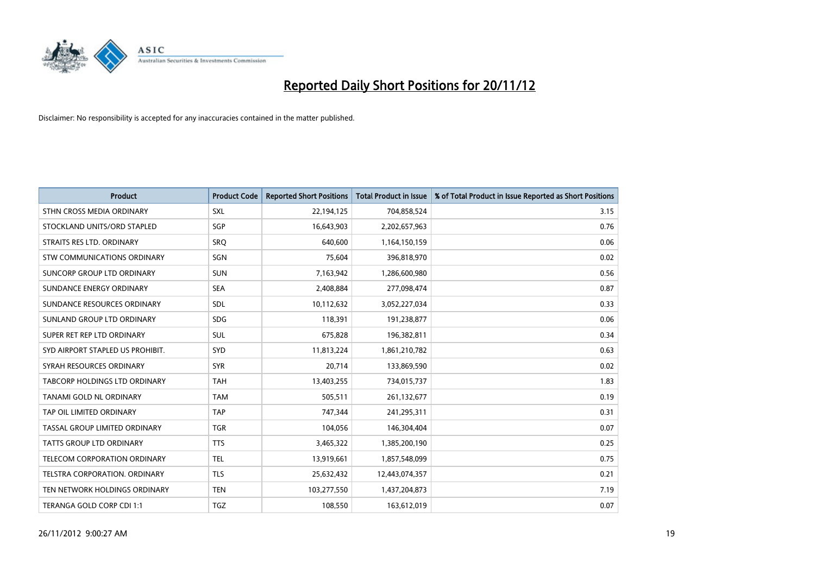

| <b>Product</b>                       | <b>Product Code</b> | <b>Reported Short Positions</b> | <b>Total Product in Issue</b> | % of Total Product in Issue Reported as Short Positions |
|--------------------------------------|---------------------|---------------------------------|-------------------------------|---------------------------------------------------------|
| STHN CROSS MEDIA ORDINARY            | <b>SXL</b>          | 22,194,125                      | 704,858,524                   | 3.15                                                    |
| STOCKLAND UNITS/ORD STAPLED          | SGP                 | 16,643,903                      | 2,202,657,963                 | 0.76                                                    |
| STRAITS RES LTD. ORDINARY            | SRO                 | 640,600                         | 1,164,150,159                 | 0.06                                                    |
| STW COMMUNICATIONS ORDINARY          | SGN                 | 75,604                          | 396,818,970                   | 0.02                                                    |
| SUNCORP GROUP LTD ORDINARY           | <b>SUN</b>          | 7,163,942                       | 1,286,600,980                 | 0.56                                                    |
| SUNDANCE ENERGY ORDINARY             | <b>SEA</b>          | 2,408,884                       | 277,098,474                   | 0.87                                                    |
| SUNDANCE RESOURCES ORDINARY          | <b>SDL</b>          | 10,112,632                      | 3,052,227,034                 | 0.33                                                    |
| SUNLAND GROUP LTD ORDINARY           | <b>SDG</b>          | 118,391                         | 191,238,877                   | 0.06                                                    |
| SUPER RET REP LTD ORDINARY           | <b>SUL</b>          | 675,828                         | 196,382,811                   | 0.34                                                    |
| SYD AIRPORT STAPLED US PROHIBIT.     | <b>SYD</b>          | 11,813,224                      | 1,861,210,782                 | 0.63                                                    |
| SYRAH RESOURCES ORDINARY             | <b>SYR</b>          | 20,714                          | 133,869,590                   | 0.02                                                    |
| <b>TABCORP HOLDINGS LTD ORDINARY</b> | <b>TAH</b>          | 13,403,255                      | 734,015,737                   | 1.83                                                    |
| <b>TANAMI GOLD NL ORDINARY</b>       | <b>TAM</b>          | 505,511                         | 261,132,677                   | 0.19                                                    |
| TAP OIL LIMITED ORDINARY             | <b>TAP</b>          | 747,344                         | 241,295,311                   | 0.31                                                    |
| TASSAL GROUP LIMITED ORDINARY        | <b>TGR</b>          | 104,056                         | 146,304,404                   | 0.07                                                    |
| <b>TATTS GROUP LTD ORDINARY</b>      | <b>TTS</b>          | 3,465,322                       | 1,385,200,190                 | 0.25                                                    |
| TELECOM CORPORATION ORDINARY         | <b>TEL</b>          | 13,919,661                      | 1,857,548,099                 | 0.75                                                    |
| TELSTRA CORPORATION. ORDINARY        | <b>TLS</b>          | 25,632,432                      | 12,443,074,357                | 0.21                                                    |
| TEN NETWORK HOLDINGS ORDINARY        | <b>TEN</b>          | 103,277,550                     | 1,437,204,873                 | 7.19                                                    |
| TERANGA GOLD CORP CDI 1:1            | <b>TGZ</b>          | 108,550                         | 163,612,019                   | 0.07                                                    |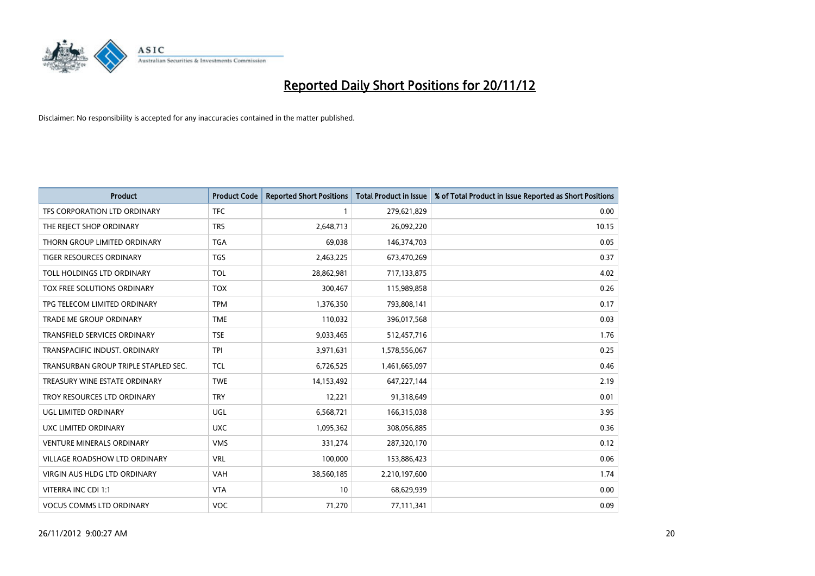

| <b>Product</b>                       | <b>Product Code</b> | <b>Reported Short Positions</b> | <b>Total Product in Issue</b> | % of Total Product in Issue Reported as Short Positions |
|--------------------------------------|---------------------|---------------------------------|-------------------------------|---------------------------------------------------------|
| TFS CORPORATION LTD ORDINARY         | <b>TFC</b>          |                                 | 279,621,829                   | 0.00                                                    |
| THE REJECT SHOP ORDINARY             | <b>TRS</b>          | 2,648,713                       | 26,092,220                    | 10.15                                                   |
| THORN GROUP LIMITED ORDINARY         | <b>TGA</b>          | 69,038                          | 146,374,703                   | 0.05                                                    |
| TIGER RESOURCES ORDINARY             | <b>TGS</b>          | 2,463,225                       | 673,470,269                   | 0.37                                                    |
| TOLL HOLDINGS LTD ORDINARY           | <b>TOL</b>          | 28,862,981                      | 717,133,875                   | 4.02                                                    |
| TOX FREE SOLUTIONS ORDINARY          | <b>TOX</b>          | 300,467                         | 115,989,858                   | 0.26                                                    |
| TPG TELECOM LIMITED ORDINARY         | <b>TPM</b>          | 1,376,350                       | 793,808,141                   | 0.17                                                    |
| TRADE ME GROUP ORDINARY              | <b>TME</b>          | 110,032                         | 396,017,568                   | 0.03                                                    |
| <b>TRANSFIELD SERVICES ORDINARY</b>  | <b>TSE</b>          | 9,033,465                       | 512,457,716                   | 1.76                                                    |
| TRANSPACIFIC INDUST, ORDINARY        | <b>TPI</b>          | 3,971,631                       | 1,578,556,067                 | 0.25                                                    |
| TRANSURBAN GROUP TRIPLE STAPLED SEC. | <b>TCL</b>          | 6,726,525                       | 1,461,665,097                 | 0.46                                                    |
| TREASURY WINE ESTATE ORDINARY        | <b>TWE</b>          | 14,153,492                      | 647,227,144                   | 2.19                                                    |
| TROY RESOURCES LTD ORDINARY          | <b>TRY</b>          | 12,221                          | 91,318,649                    | 0.01                                                    |
| UGL LIMITED ORDINARY                 | <b>UGL</b>          | 6,568,721                       | 166,315,038                   | 3.95                                                    |
| <b>UXC LIMITED ORDINARY</b>          | <b>UXC</b>          | 1,095,362                       | 308,056,885                   | 0.36                                                    |
| <b>VENTURE MINERALS ORDINARY</b>     | <b>VMS</b>          | 331,274                         | 287,320,170                   | 0.12                                                    |
| VILLAGE ROADSHOW LTD ORDINARY        | <b>VRL</b>          | 100,000                         | 153,886,423                   | 0.06                                                    |
| <b>VIRGIN AUS HLDG LTD ORDINARY</b>  | <b>VAH</b>          | 38,560,185                      | 2,210,197,600                 | 1.74                                                    |
| VITERRA INC CDI 1:1                  | <b>VTA</b>          | 10                              | 68,629,939                    | 0.00                                                    |
| <b>VOCUS COMMS LTD ORDINARY</b>      | <b>VOC</b>          | 71,270                          | 77,111,341                    | 0.09                                                    |